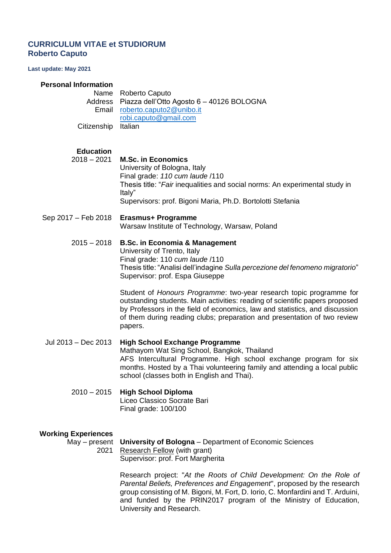# **CURRICULUM VITAE et STUDIORUM Roberto Caputo**

#### **Last update: May 2021**

### **Personal Information**

Name Roberto Caputo Address Piazza dell'Otto Agosto 6 – 40126 BOLOGNA Email [roberto.caputo2@unibo.it](mailto:roberto.caputo2@unibo.it) [robi.caputo@gmail.com](mailto:robi.caputo@gmail.com) Citizenship Italian

## **Education**

2018 – 2021 **M.Sc. in Economics** University of Bologna, Italy Final grade: *110 cum laude* /110 Thesis title: "*Fair* inequalities and social norms: An experimental study in Italy" Supervisors: prof. Bigoni Maria, Ph.D. Bortolotti Stefania

Sep 2017 – Feb 2018 **Erasmus+ Programme** Warsaw Institute of Technology, Warsaw, Poland

# 2015 – 2018 **B.Sc. in Economia & Management**

University of Trento, Italy Final grade: 110 *cum laude* /110 Thesis title: "Analisi dell'indagine *Sulla percezione del fenomeno migratorio*" Supervisor: prof. Espa Giuseppe

Student of *Honours Programme*: two-year research topic programme for outstanding students. Main activities: reading of scientific papers proposed by Professors in the field of economics, law and statistics, and discussion of them during reading clubs; preparation and presentation of two review papers.

Jul 2013 – Dec 2013 **High School Exchange Programme** Mathayom Wat Sing School, Bangkok, Thailand AFS Intercultural Programme. High school exchange program for six months. Hosted by a Thai volunteering family and attending a local public school (classes both in English and Thai).

# 2010 – 2015 **High School Diploma**

Liceo Classico Socrate Bari Final grade: 100/100

## **Working Experiences**

May - present University of Bologna - Department of Economic Sciences 2021 Research Fellow (with grant) Supervisor: prof. Fort Margherita

> Research project: "*At the Roots of Child Development: On the Role of Parental Beliefs, Preferences and Engagement*", proposed by the research group consisting of M. Bigoni, M. Fort, D. Iorio, C. Monfardini and T. Arduini, and funded by the PRIN2017 program of the Ministry of Education, University and Research.